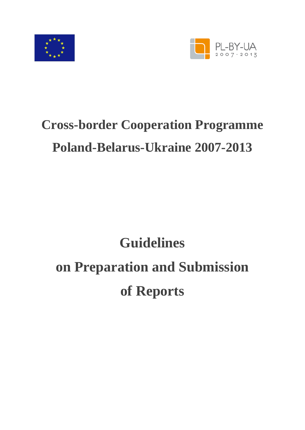



# **Cross-border Cooperation Programme Poland-Belarus-Ukraine 2007-2013**

# **Guidelines on Preparation and Submission of Reports**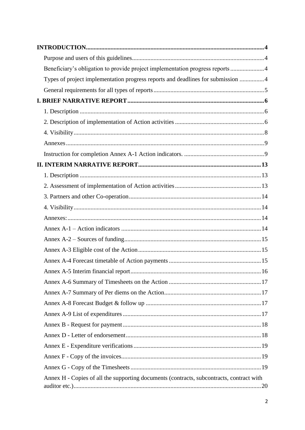| Beneficiary's obligation to provide project implementation progress reports 4            |  |
|------------------------------------------------------------------------------------------|--|
| Types of project implementation progress reports and deadlines for submission 4          |  |
|                                                                                          |  |
|                                                                                          |  |
|                                                                                          |  |
|                                                                                          |  |
|                                                                                          |  |
|                                                                                          |  |
|                                                                                          |  |
|                                                                                          |  |
|                                                                                          |  |
|                                                                                          |  |
|                                                                                          |  |
|                                                                                          |  |
|                                                                                          |  |
|                                                                                          |  |
|                                                                                          |  |
|                                                                                          |  |
|                                                                                          |  |
|                                                                                          |  |
|                                                                                          |  |
|                                                                                          |  |
|                                                                                          |  |
|                                                                                          |  |
|                                                                                          |  |
|                                                                                          |  |
|                                                                                          |  |
|                                                                                          |  |
|                                                                                          |  |
| Annex H - Copies of all the supporting documents (contracts, subcontracts, contract with |  |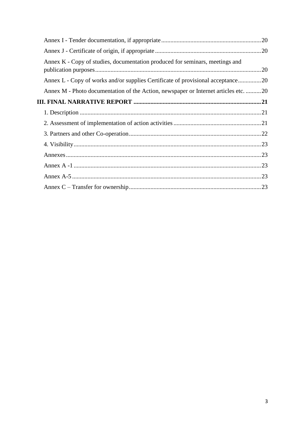| Annex K - Copy of studies, documentation produced for seminars, meetings and        |  |
|-------------------------------------------------------------------------------------|--|
| Annex L - Copy of works and/or supplies Certificate of provisional acceptance20     |  |
| Annex M - Photo documentation of the Action, newspaper or Internet articles etc. 20 |  |
|                                                                                     |  |
|                                                                                     |  |
|                                                                                     |  |
|                                                                                     |  |
|                                                                                     |  |
|                                                                                     |  |
|                                                                                     |  |
|                                                                                     |  |
|                                                                                     |  |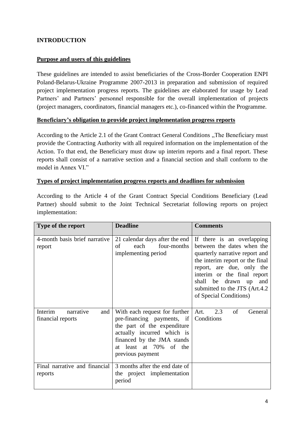# <span id="page-3-0"></span>**INTRODUCTION**

#### <span id="page-3-1"></span>**Purpose and users of this guidelines**

These guidelines are intended to assist beneficiaries of the Cross-Border Cooperation ENPI Poland-Belarus-Ukraine Programme 2007-2013 in preparation and submission of required project implementation progress reports. The guidelines are elaborated for usage by Lead Partners' and Partners' personnel responsible for the overall implementation of projects (project managers, coordinators, financial managers etc.), co-financed within the Programme.

#### <span id="page-3-2"></span>**Beneficiary's obligation to provide project implementation progress reports**

According to the Article 2.1 of the Grant Contract General Conditions . The Beneficiary must provide the Contracting Authority with all required information on the implementation of the Action. To that end, the Beneficiary must draw up interim reports and a final report. These reports shall consist of a narrative section and a financial section and shall conform to the model in Annex VI."

#### <span id="page-3-3"></span>**Types of project implementation progress reports and deadlines for submission**

According to the Article 4 of the Grant Contract Special Conditions Beneficiary (Lead Partner) should submit to the Joint Technical Secretariat following reports on project implementation:

| Type of the report                               | <b>Deadline</b>                                                                                                                                                                                      | <b>Comments</b>                                                                                                                                                                                                                                                                   |
|--------------------------------------------------|------------------------------------------------------------------------------------------------------------------------------------------------------------------------------------------------------|-----------------------------------------------------------------------------------------------------------------------------------------------------------------------------------------------------------------------------------------------------------------------------------|
| 4-month basis brief narrative<br>report          | 21 calendar days after the end<br>each<br>four-months<br>of<br>implementing period                                                                                                                   | If there is an overlapping<br>between the dates when the<br>quarterly narrative report and<br>the interim report or the final<br>report, are due, only the<br>interim or the final report<br>shall be drawn up<br>and<br>submitted to the JTS (Art.4.2)<br>of Special Conditions) |
| Interim<br>narrative<br>and<br>financial reports | With each request for further<br>pre-financing payments, if<br>the part of the expenditure<br>actually incurred which is<br>financed by the JMA stands<br>at least at 70% of the<br>previous payment | Art.<br>of<br>2.3<br>General<br>Conditions                                                                                                                                                                                                                                        |
| Final narrative and financial<br>reports         | 3 months after the end date of<br>the project implementation<br>period                                                                                                                               |                                                                                                                                                                                                                                                                                   |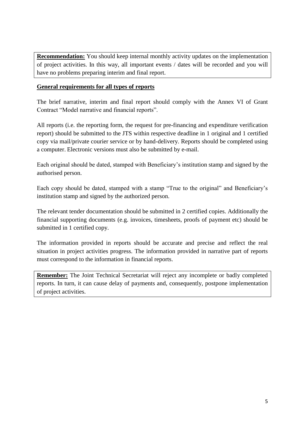**Recommendation:** You should keep internal monthly activity updates on the implementation of project activities. In this way, all important events / dates will be recorded and you will have no problems preparing interim and final report.

# <span id="page-4-0"></span>**General requirements for all types of reports**

The brief narrative, interim and final report should comply with the Annex VI of Grant Contract "Model narrative and financial reports".

All reports (i.e. the reporting form, the request for pre-financing and expenditure verification report) should be submitted to the JTS within respective deadline in 1 original and 1 certified copy via mail/private courier service or by hand-delivery. Reports should be completed using a computer. Electronic versions must also be submitted by e-mail.

Each original should be dated, stamped with Beneficiary's institution stamp and signed by the authorised person.

Each copy should be dated, stamped with a stamp "True to the original" and Beneficiary's institution stamp and signed by the authorized person.

The relevant tender documentation should be submitted in 2 certified copies. Additionally the financial supporting documents (e.g. invoices, timesheets, proofs of payment etc) should be submitted in 1 certified copy.

The information provided in reports should be accurate and precise and reflect the real situation in project activities progress. The information provided in narrative part of reports must correspond to the information in financial reports.

**Remember:** The Joint Technical Secretariat will reject any incomplete or badly completed reports. In turn, it can cause delay of payments and, consequently, postpone implementation of project activities.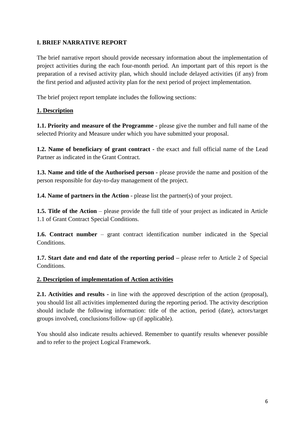# <span id="page-5-0"></span>**I. BRIEF NARRATIVE REPORT**

The brief narrative report should provide necessary information about the implementation of project activities during the each four-month period. An important part of this report is the preparation of a revised activity plan, which should include delayed activities (if any) from the first period and adjusted activity plan for the next period of project implementation.

The brief project report template includes the following sections:

# <span id="page-5-1"></span>**1. Description**

**1.1. Priority and measure of the Programme -** please give the number and full name of the selected Priority and Measure under which you have submitted your proposal.

**1.2. Name of beneficiary of grant contract -** the exact and full official name of the Lead Partner as indicated in the Grant Contract.

**1.3. Name and title of the Authorised person -** please provide the name and position of the person responsible for day-to-day management of the project.

**1.4. Name of partners in the Action** - please list the partner(s) of your project.

**1.5. Title of the Action** – please provide the full title of your project as indicated in Article 1.1 of Grant Contract Special Conditions.

**1.6. Contract number** – grant contract identification number indicated in the Special Conditions.

**1.7. Start date and end date of the reporting period –** please refer to Article 2 of Special Conditions.

# <span id="page-5-2"></span>**2. Description of implementation of Action activities**

**2.1. Activities and results -** in line with the approved description of the action (proposal), you should list all activities implemented during the reporting period. The activity description should include the following information: title of the action, period (date), actors/target groups involved, conclusions/follow–up (if applicable).

You should also indicate results achieved. Remember to quantify results whenever possible and to refer to the project Logical Framework.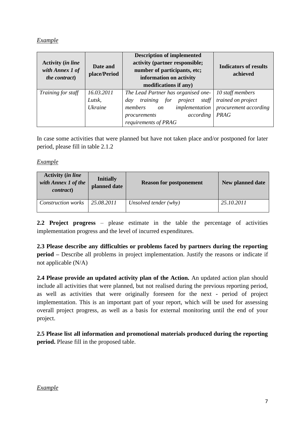# *Example*

| <b>Activity (in line</b><br>with Annex 1 of<br><i>the contract</i> ) | Date and<br>place/Period | <b>Description of implemented</b><br>activity (partner responsible;<br>number of participants, etc;<br>information on activity<br>modifications if any) | <b>Indicators of results</b><br>achieved |
|----------------------------------------------------------------------|--------------------------|---------------------------------------------------------------------------------------------------------------------------------------------------------|------------------------------------------|
| Training for staff                                                   | 16.03.2011               | The Lead Partner has organised one-                                                                                                                     | 10 staff members                         |
|                                                                      | Lutsk,                   | training<br>for<br>staff<br>project<br>day                                                                                                              | trained on project                       |
|                                                                      | <i>Ukraine</i>           | <i>implementation</i><br>members<br><i>on</i>                                                                                                           | procurement according                    |
|                                                                      |                          | according<br>procurements                                                                                                                               | <b>PRAG</b>                              |
|                                                                      |                          | requirements of PRAG                                                                                                                                    |                                          |

In case some activities that were planned but have not taken place and/or postponed for later period, please fill in table 2.1.2

#### *Example*

| <b>Activity (in line</b><br>with Annex 1 of the<br><i>contract</i> ) | <b>Initially</b><br>planned date | <b>Reason for postponement</b> | New planned date |
|----------------------------------------------------------------------|----------------------------------|--------------------------------|------------------|
| <b>Construction works</b>                                            | 25.08.2011                       | Unsolved tender (why)          | 25.10.2011       |

**2.2 Project progress** – please estimate in the table the percentage of activities implementation progress and the level of incurred expenditures.

**2.3 Please describe any difficulties or problems faced by partners during the reporting period –** Describe all problems in project implementation. Justify the reasons or indicate if not applicable (N/A)

**2.4 Please provide an updated activity plan of the Action.** An updated action plan should include all activities that were planned, but not realised during the previous reporting period, as well as activities that were originally foreseen for the next - period of project implementation. This is an important part of your report, which will be used for assessing overall project progress, as well as a basis for external monitoring until the end of your project.

**2.5 Please list all information and promotional materials produced during the reporting period.** Please fill in the proposed table.

#### *Example*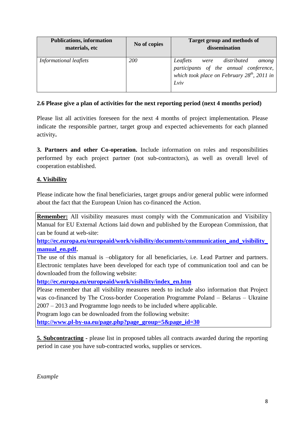| <b>Publications, information</b><br>materials, etc | No of copies | Target group and methods of<br>dissemination                                                                                             |
|----------------------------------------------------|--------------|------------------------------------------------------------------------------------------------------------------------------------------|
| Informational leaflets                             | <i>200</i>   | Leaflets were distributed<br>among<br>participants of the annual conference,<br>which took place on February $28^{th}$ , 2011 in<br>Lviv |

#### **2.6 Please give a plan of activities for the next reporting period (next 4 months period)**

Please list all activities foreseen for the next 4 months of project implementation. Please indicate the responsible partner, target group and expected achievements for each planned activity**.**

**3. Partners and other Co-operation.** Include information on roles and responsibilities performed by each project partner (not sub-contractors), as well as overall level of cooperation established.

# <span id="page-7-0"></span>**4. Visibility**

Please indicate how the final beneficiaries, target groups and/or general public were informed about the fact that the European Union has co-financed the Action.

**Remember:** All visibility measures must comply with the Communication and Visibility Manual for EU External Actions laid down and published by the European Commission, that can be found at web-site:

**[http://ec.europa.eu/europeaid/work/visibility/documents/communication\\_and\\_visibility\\_](http://ec.europa.eu/europeaid/work/visibility/documents/communication_and_visibility_manual_en.pdf) [manual\\_en.pdf.](http://ec.europa.eu/europeaid/work/visibility/documents/communication_and_visibility_manual_en.pdf)**

The use of this manual is –obligatory for all beneficiaries, i.e. Lead Partner and partners. Electronic templates have been developed for each type of communication tool and can be downloaded from the following website:

**[http://ec.europa.eu/europeaid/work/visibility/index\\_en.htm](http://ec.europa.eu/europeaid/work/visibility/index_en.htm)**

Please remember that all visibility measures needs to include also information that Project was co-financed by The Cross-border Cooperation Programme Poland – Belarus – Ukraine 2007 – 2013 and Programme logo needs to be included where applicable.

Program logo can be downloaded from the following website:

**[http://www.pl-by-ua.eu/page.php?page\\_group=5&page\\_id=30](http://www.pl-by-ua.eu/page.php?page_group=5&page_id=30)**

**5. Subcontracting -** please list in proposed tables all contracts awarded during the reporting period in case you have sub-contracted works, supplies or services.

*Example*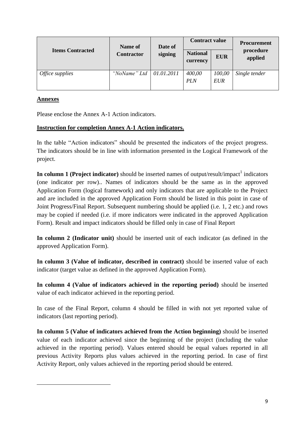|                               | Name of                   | Date of | <b>Contract value</b>       |                      | <b>Procurement</b><br>procedure<br>applied |  |
|-------------------------------|---------------------------|---------|-----------------------------|----------------------|--------------------------------------------|--|
| <b>Items Contracted</b>       | <b>Contractor</b>         | signing | <b>National</b><br>currency | <b>EUR</b>           |                                            |  |
| <i><b>Office supplies</b></i> | "NoName" Ltd   01.01.2011 |         | 400,00<br><b>PLN</b>        | 100,00<br><b>EUR</b> | Single tender                              |  |

# <span id="page-8-0"></span>**Annexes**

**.** 

Please enclose the Annex A-1 Action indicators.

# <span id="page-8-1"></span>**Instruction for completion Annex A-1 Action indicators.**

In the table "Action indicators" should be presented the indicators of the project progress. The indicators should be in line with information presented in the Logical Framework of the project.

**In column 1 (Project indicator)** should be inserted names of output/result/impact<sup>1</sup> indicators (one indicator per row).. Names of indicators should be the same as in the approved Application Form (logical framework) and only indicators that are applicable to the Project and are included in the approved Application Form should be listed in this point in case of Joint Progress/Final Report. Subsequent numbering should be applied (i.e. 1, 2 etc.) and rows may be copied if needed (i.e. if more indicators were indicated in the approved Application Form). Result and impact indicators should be filled only in case of Final Report

**In column 2 (Indicator unit)** should be inserted unit of each indicator (as defined in the approved Application Form).

**In column 3 (Value of indicator, described in contract)** should be inserted value of each indicator (target value as defined in the approved Application Form).

**In column 4 (Value of indicators achieved in the reporting period)** should be inserted value of each indicator achieved in the reporting period.

In case of the Final Report, column 4 should be filled in with not yet reported value of indicators (last reporting period).

**In column 5 (Value of indicators achieved from the Action beginning)** should be inserted value of each indicator achieved since the beginning of the project (including the value achieved in the reporting period). Values entered should be equal values reported in all previous Activity Reports plus values achieved in the reporting period. In case of first Activity Report, only values achieved in the reporting period should be entered.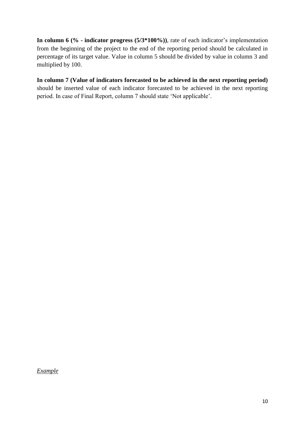**In column 6 (% - indicator progress (5/3\*100%))**, rate of each indicator's implementation from the beginning of the project to the end of the reporting period should be calculated in percentage of its target value. Value in column 5 should be divided by value in column 3 and multiplied by 100.

**In column 7 (Value of indicators forecasted to be achieved in the next reporting period)** should be inserted value of each indicator forecasted to be achieved in the next reporting period. In case of Final Report, column 7 should state 'Not applicable'.

*Example*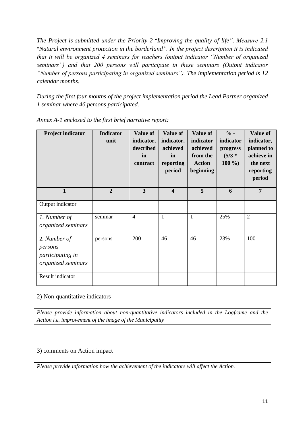*The Project is submitted under the Priority 2* "*Improving the quality of life", Measure 2.1* "*Natural environment protection in the borderland". In the project description it is indicated that it will be organized 4 seminars for teachers (output indicator "Number of organized seminars") and that 200 persons will participate in these seminars (Output indicator "Number of persons participating in organized seminars"). The implementation period is 12 calendar months.*

*During the first four months of the project implementation period the Lead Partner organized 1 seminar where 46 persons participated.*

| <b>Project indicator</b>                                          | <b>Indicator</b><br>unit | <b>Value of</b><br>indicator,<br>described<br>in<br>contract | <b>Value of</b><br>indicator,<br>achieved<br>in<br>reporting<br>period | <b>Value of</b><br>indicator<br>achieved<br>from the<br><b>Action</b><br>beginning | $\%$ -<br>indicator<br>progress<br>$(5/3 *$<br>$100\%$ | Value of<br>indicator,<br>planned to<br>achieve in<br>the next<br>reporting<br>period |
|-------------------------------------------------------------------|--------------------------|--------------------------------------------------------------|------------------------------------------------------------------------|------------------------------------------------------------------------------------|--------------------------------------------------------|---------------------------------------------------------------------------------------|
| $\mathbf{1}$                                                      | $\overline{2}$           | $\overline{\mathbf{3}}$                                      | $\overline{\mathbf{4}}$                                                | 5                                                                                  | 6                                                      | $\overline{7}$                                                                        |
| Output indicator                                                  |                          |                                                              |                                                                        |                                                                                    |                                                        |                                                                                       |
| 1. Number of<br>organized seminars                                | seminar                  | $\overline{4}$                                               | $\mathbf{1}$                                                           | $\mathbf{1}$                                                                       | 25%                                                    | $\overline{2}$                                                                        |
| 2. Number of<br>persons<br>participating in<br>organized seminars | persons                  | 200                                                          | 46                                                                     | 46                                                                                 | 23%                                                    | 100                                                                                   |
| Result indicator                                                  |                          |                                                              |                                                                        |                                                                                    |                                                        |                                                                                       |

*Annex A-1 enclosed to the first brief narrative report:*

#### 2) Non-quantitative indicators

*Please provide information about non-quantitative indicators included in the Logframe and the Action i.e. improvement of the image of the Municipality*

#### 3) comments on Action impact

*Please provide information how the achievement of the indicators will affect the Action.*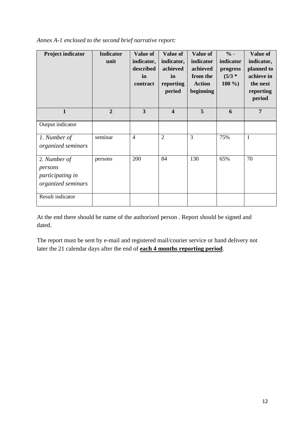| Annex A-1 enclosed to the second brief narrative report: |  |  |  |  |  |  |
|----------------------------------------------------------|--|--|--|--|--|--|
|----------------------------------------------------------|--|--|--|--|--|--|

| <b>Project indicator</b>                                          | <b>Indicator</b><br>unit | Value of<br>indicator,<br>described<br>in<br>contract | <b>Value of</b><br>indicator,<br>achieved<br>in<br>reporting<br>period | Value of<br>indicator<br>achieved<br>from the<br><b>Action</b><br>beginning | $\%$ -<br>indicator<br>progress<br>$(5/3 *$<br>$100\%$ | Value of<br>indicator,<br>planned to<br>achieve in<br>the next<br>reporting<br>period |
|-------------------------------------------------------------------|--------------------------|-------------------------------------------------------|------------------------------------------------------------------------|-----------------------------------------------------------------------------|--------------------------------------------------------|---------------------------------------------------------------------------------------|
| $\mathbf{1}$                                                      | $\overline{2}$           | $\overline{\mathbf{3}}$                               | $\overline{\mathbf{4}}$                                                | 5                                                                           | 6                                                      | $\overline{7}$                                                                        |
| Output indicator                                                  |                          |                                                       |                                                                        |                                                                             |                                                        |                                                                                       |
| 1. Number of<br>organized seminars                                | seminar                  | $\overline{4}$                                        | $\overline{2}$                                                         | 3                                                                           | 75%                                                    | $\mathbf{1}$                                                                          |
| 2. Number of<br>persons<br>participating in<br>organized seminars | persons                  | 200                                                   | 84                                                                     | 130                                                                         | 65%                                                    | 70                                                                                    |
| Result indicator                                                  |                          |                                                       |                                                                        |                                                                             |                                                        |                                                                                       |

At the end there should be name of the authorised person . Report should be signed and dated.

The report must be sent by e-mail and registered mail/courier service or hand delivery not later the 21 calendar days after the end of **each 4 months reporting period**.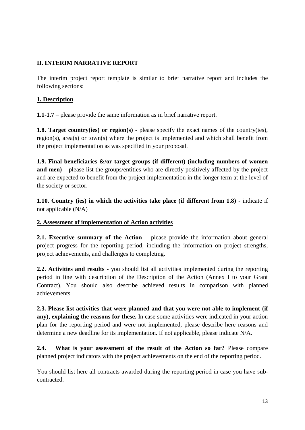# <span id="page-12-0"></span>**II. INTERIM NARRATIVE REPORT**

The interim project report template is similar to brief narrative report and includes the following sections:

# <span id="page-12-1"></span>**1. Description**

**1.1-1.7** – please provide the same information as in brief narrative report.

**1.8. Target country(ies) or region(s)** - please specify the exact names of the country(ies), region(s), area(s) or town(s) where the project is implemented and which shall benefit from the project implementation as was specified in your proposal.

**1.9. Final beneficiaries &/or target groups (if different) (including numbers of women and men)** – please list the groups/entities who are directly positively affected by the project and are expected to benefit from the project implementation in the longer term at the level of the society or sector.

**1.10. Country (ies) in which the activities take place (if different from 1.8)** - indicate if not applicable (N/A)

#### <span id="page-12-2"></span>**2. Assessment of implementation of Action activities**

**2.1. Executive summary of the Action** – please provide the information about general project progress for the reporting period, including the information on project strengths, project achievements, and challenges to completing.

**2.2. Activities and results -** you should list all activities implemented during the reporting period in line with description of the Description of the Action (Annex I to your Grant Contract). You should also describe achieved results in comparison with planned achievements.

**2.3. Please list activities that were planned and that you were not able to implement (if any), explaining the reasons for these.** In case some activities were indicated in your action plan for the reporting period and were not implemented, please describe here reasons and determine a new deadline for its implementation. If not applicable, please indicate N/A.

**2.4. What is your assessment of the result of the Action so far?** Please compare planned project indicators with the project achievements on the end of the reporting period.

You should list here all contracts awarded during the reporting period in case you have subcontracted.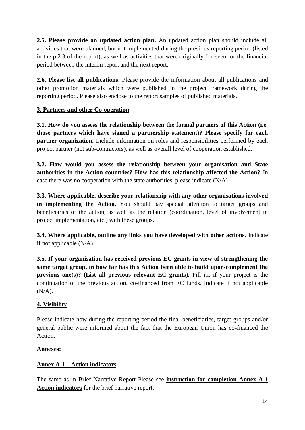**2.5. Please provide an updated action plan.** An updated action plan should include all activities that were planned, but not implemented during the previous reporting period (listed in the p.2.3 of the report), as well as activities that were originally foreseen for the financial period between the interim report and the next report.

**2.6. Please list all publications.** Please provide the information about all publications and other promotion materials which were published in the project framework during the reporting period. Please also enclose to the report samples of published materials.

# <span id="page-13-0"></span>**3. Partners and other Co-operation**

**3.1. How do you assess the relationship between the formal partners of this Action (i.e. those partners which have signed a partnership statement)? Please specify for each partner organization.** Include information on roles and responsibilities performed by each project partner (not sub-contractors), as well as overall level of cooperation established.

**3.2. How would you assess the relationship between your organisation and State authorities in the Action countries? How has this relationship affected the Action?** In case there was no cooperation with the state authorities, please indicate (N/A)

**3.3. Where applicable, describe your relationship with any other organisations involved in implementing the Action.** You should pay special attention to target groups and beneficiaries of the action, as well as the relation (coordination, level of involvement in project implementation, etc.) with these groups.

**3.4. Where applicable, outline any links you have developed with other actions.** Indicate if not applicable (N/A).

**3.5. If your organisation has received previous EC grants in view of strengthening the same target group, in how far has this Action been able to build upon/complement the previous one(s)? (List all previous relevant EC grants).** Fill in, if your project is the continuation of the previous action, co-financed from EC funds. Indicate if not applicable  $(N/A)$ .

# <span id="page-13-1"></span>**4. Visibility**

Please indicate how during the reporting period the final beneficiaries, target groups and/or general public were informed about the fact that the European Union has co-financed the Action.

# <span id="page-13-2"></span>**Annexes:**

# <span id="page-13-3"></span>**Annex A-1 – Action indicators**

The same as in Brief Narrative Report Please see **instruction for completion Annex A-1 Action indicators** for the brief narrative report.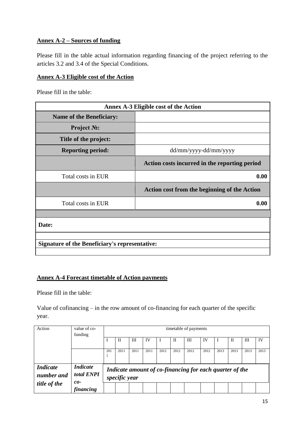# <span id="page-14-0"></span>**Annex A-2 – Sources of funding**

Please fill in the table actual information regarding financing of the project referring to the articles 3.2 and 3.4 of the Special Conditions.

#### <span id="page-14-1"></span>**Annex A-3 Eligible cost of the Action**

Please fill in the table:

| Annex A-3 Eligible cost of the Action                 |                                                     |  |  |  |  |
|-------------------------------------------------------|-----------------------------------------------------|--|--|--|--|
| <b>Name of the Beneficiary:</b>                       |                                                     |  |  |  |  |
| <b>Project No:</b>                                    |                                                     |  |  |  |  |
| Title of the project:                                 |                                                     |  |  |  |  |
| <b>Reporting period:</b>                              | dd/mm/yyyy-dd/mm/yyyy                               |  |  |  |  |
|                                                       | Action costs incurred in the reporting period       |  |  |  |  |
| Total costs in EUR                                    | 0.00                                                |  |  |  |  |
|                                                       | <b>Action cost from the beginning of the Action</b> |  |  |  |  |
| Total costs in EUR                                    | 0.00                                                |  |  |  |  |
|                                                       |                                                     |  |  |  |  |
| Date:                                                 |                                                     |  |  |  |  |
|                                                       |                                                     |  |  |  |  |
| <b>Signature of the Beneficiary's representative:</b> |                                                     |  |  |  |  |
|                                                       |                                                     |  |  |  |  |

# <span id="page-14-2"></span>**Annex A-4 Forecast timetable of Action payments**

Please fill in the table:

Value of cofinancing – in the row amount of co-financing for each quarter of the specific year.

| Action                                        | timetable of payments                  |     |               |      |      |      |      |                                                         |      |      |      |      |      |
|-----------------------------------------------|----------------------------------------|-----|---------------|------|------|------|------|---------------------------------------------------------|------|------|------|------|------|
|                                               | funding                                |     | П             | Ш    | IV   |      | П    | Ш                                                       | IV   |      | Н    | Ш    | IV   |
|                                               |                                        | 201 | 2011          | 2011 | 2011 | 2012 | 2012 | 2012                                                    | 2012 | 2013 | 2013 | 2013 | 2013 |
| <i>Indicate</i><br>number and<br>title of the | <b>Indicate</b><br>total ENPI<br>$co-$ |     | specific year |      |      |      |      | Indicate amount of co-financing for each quarter of the |      |      |      |      |      |
|                                               | financing                              |     |               |      |      |      |      |                                                         |      |      |      |      |      |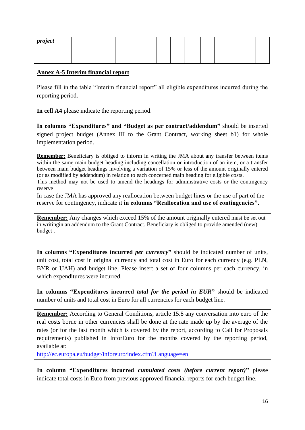| project |  |  |  |  |  |  |  |
|---------|--|--|--|--|--|--|--|
|         |  |  |  |  |  |  |  |

#### <span id="page-15-0"></span>**Annex A-5 Interim financial report**

Please fill in the table "Interim financial report" all eligible expenditures incurred during the reporting period.

**In cell A4** please indicate the reporting period.

**In columns "Expenditures" and "Budget as per contract/addendum"** should be inserted signed project budget (Annex III to the Grant Contract, working sheet b1) for whole implementation period.

**Remember:** Beneficiary is obliged to inform in writing the JMA about any transfer between items within the same main budget heading including cancellation or introduction of an item, or a transfer between main budget headings involving a variation of 15% or less of the amount originally entered (or as modified by addendum) in relation to each concerned main heading for eligible costs. This method may not be used to amend the headings for administrative costs or the contingency reserve

In case the JMA has approved any reallocation between budget lines or the use of part of the reserve for contingency, indicate it **in columns "Reallocation and use of contingencies".**

**Remember:** Any changes which exceed 15% of the amount originally entered must be set out in writingin an addendum to the Grant Contract. Beneficiary is obliged to provide amended (new) budget .

**In columns "Expenditures incurred** *per currency***"** should be indicated number of units, unit cost, total cost in original currency and total cost in Euro for each currency (e.g. PLN, BYR or UAH) and budget line. Please insert a set of four columns per each currency, in which expenditures were incurred.

**In columns "Expenditures incurred** *total for the period in EUR***"** should be indicated number of units and total cost in Euro for all currencies for each budget line.

**Remember:** According to General Conditions, article 15.8 any conversation into euro of the real costs borne in other currencies shall be done at the rate made up by the average of the rates (or for the last month which is covered by the report, according to Call for Proposals requirements) published in InforEuro for the months covered by the reporting period, available at:

<http://ec.europa.eu/budget/inforeuro/index.cfm?Language=en>

**In column "Expenditures incurred** *cumulated costs (before current report)***"** please indicate total costs in Euro from previous approved financial reports for each budget line.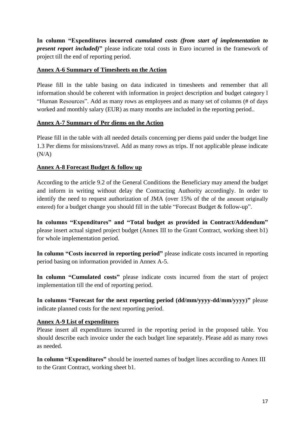**In column "Expenditures incurred** *cumulated costs (from start of implementation to present report included*)" please indicate total costs in Euro incurred in the framework of project till the end of reporting period.

# <span id="page-16-0"></span>**Annex A-6 Summary of Timesheets on the Action**

Please fill in the table basing on data indicated in timesheets and remember that all information should be coherent with information in project description and budget category l "Human Resources". Add as many rows as employees and as many set of columns (# of days worked and monthly salary (EUR) as many months are included in the reporting period..

# <span id="page-16-1"></span>**Annex A-7 Summary of Per diems on the Action**

Please fill in the table with all needed details concerning per diems paid under the budget line 1.3 Per diems for missions/travel. Add as many rows as trips. If not applicable please indicate  $(N/A)$ 

# <span id="page-16-2"></span>**Annex A-8 Forecast Budget & follow up**

According to the article 9.2 of the General Conditions the Beneficiary may amend the budget and inform in writing without delay the Contracting Authority accordingly. In order to identify the need to request authorization of JMA (over 15% of the of the amount originally entered) for a budget change you should fill in the table "Forecast Budget & follow-up".

**In columns "Expenditures" and "Total budget as provided in Contract/Addendum"**  please insert actual signed project budget (Annex III to the Grant Contract, working sheet b1) for whole implementation period.

**In column "Costs incurred in reporting period"** please indicate costs incurred in reporting period basing on information provided in Annex A-5.

**In column "Cumulated costs"** please indicate costs incurred from the start of project implementation till the end of reporting period.

**In columns "Forecast for the next reporting period (dd/mm/yyyy-dd/mm/yyyy)"** please indicate planned costs for the next reporting period.

#### <span id="page-16-3"></span>**Annex A-9 List of expenditures**

Please insert all expenditures incurred in the reporting period in the proposed table. You should describe each invoice under the each budget line separately. Please add as many rows as needed.

**In column "Expenditures"** should be inserted names of budget lines according to Annex III to the Grant Contract, working sheet b1.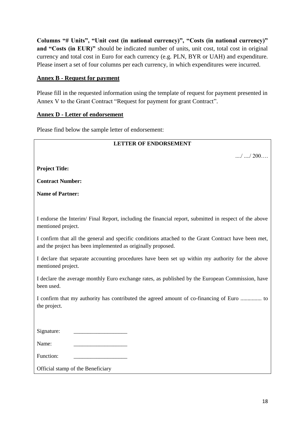**Columns "# Units", "Unit cost (in national currency)", "Costs (in national currency)"**  and "Costs (in EUR)" should be indicated number of units, unit cost, total cost in original currency and total cost in Euro for each currency (e.g. PLN, BYR or UAH) and expenditure. Please insert a set of four columns per each currency, in which expenditures were incurred.

#### <span id="page-17-0"></span>**Annex B - Request for payment**

Please fill in the requested information using the template of request for payment presented in Annex V to the Grant Contract "Request for payment for grant Contract".

#### <span id="page-17-1"></span>**Annex D - Letter of endorsement**

Please find below the sample letter of endorsement:

| <b>LETTER OF ENDORSEMENT</b>                                                                                                                                         |
|----------------------------------------------------------------------------------------------------------------------------------------------------------------------|
| $\ldots$ , $\ldots$ , 200                                                                                                                                            |
| <b>Project Title:</b>                                                                                                                                                |
| <b>Contract Number:</b>                                                                                                                                              |
| <b>Name of Partner:</b>                                                                                                                                              |
|                                                                                                                                                                      |
| I endorse the Interim/Final Report, including the financial report, submitted in respect of the above<br>mentioned project.                                          |
| I confirm that all the general and specific conditions attached to the Grant Contract have been met,<br>and the project has been implemented as originally proposed. |
| I declare that separate accounting procedures have been set up within my authority for the above<br>mentioned project.                                               |
| I declare the average monthly Euro exchange rates, as published by the European Commission, have<br>been used.                                                       |
| I confirm that my authority has contributed the agreed amount of co-financing of Euro  to<br>the project.                                                            |
|                                                                                                                                                                      |
| Signature:                                                                                                                                                           |
| Name:                                                                                                                                                                |
| Function:                                                                                                                                                            |
| Official stamp of the Beneficiary                                                                                                                                    |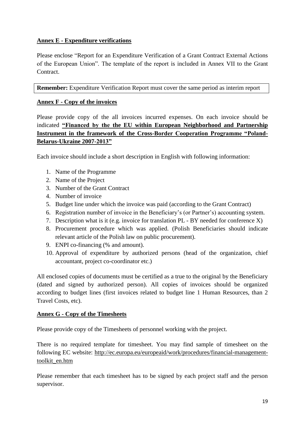# <span id="page-18-0"></span>**Annex E - Expenditure verifications**

Please enclose "Report for an Expenditure Verification of a Grant Contract External Actions of the European Union". The template of the report is included in Annex VII to the Grant Contract.

**Remember:** Expenditure Verification Report must cover the same period as interim report

# <span id="page-18-1"></span>**Annex F - Copy of the invoices**

Please provide copy of the all invoices incurred expenses. On each invoice should be indicated **"Financed by the the EU within European Neighborhood and Partnership Instrument in the framework of the Cross-Border Cooperation Programme "Poland-Belarus-Ukraine 2007-2013"**

Each invoice should include a short description in English with following information:

- 1. Name of the Programme
- 2. Name of the Project
- 3. Number of the Grant Contract
- 4. Number of invoice
- 5. Budget line under which the invoice was paid (according to the Grant Contract)
- 6. Registration number of invoice in the Beneficiary's (or Partner's) accounting system.
- 7. Description what is it (e.g. invoice for translation PL BY needed for conference X)
- 8. Procurement procedure which was applied. (Polish Beneficiaries should indicate relevant article of the Polish law on public procurement).
- 9. ENPI co-financing (% and amount).
- 10. Approval of expenditure by authorized persons (head of the organization, chief accountant, project co-coordinator etc.)

All enclosed copies of documents must be certified as a true to the original by the Beneficiary (dated and signed by authorized person). All copies of invoices should be organized according to budget lines (first invoices related to budget line 1 Human Resources, than 2 Travel Costs, etc).

#### <span id="page-18-2"></span>**Annex G - Copy of the Timesheets**

Please provide copy of the Timesheets of personnel working with the project.

There is no required template for timesheet. You may find sample of timesheet on the following EC website: [http://ec.europa.eu/europeaid/work/procedures/financial-management](http://ec.europa.eu/europeaid/work/procedures/financial-management-toolkit_en.htm)[toolkit\\_en.htm](http://ec.europa.eu/europeaid/work/procedures/financial-management-toolkit_en.htm)

Please remember that each timesheet has to be signed by each project staff and the person supervisor.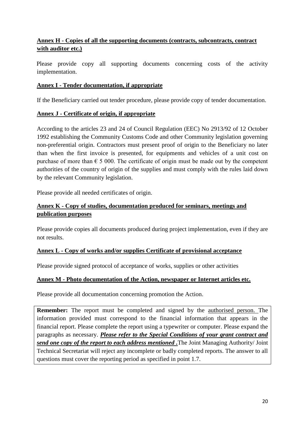# <span id="page-19-0"></span>**Annex H - Copies of all the supporting documents (contracts, subcontracts, contract with auditor etc.)**

Please provide copy all supporting documents concerning costs of the activity implementation.

# <span id="page-19-1"></span>**Annex I - Tender documentation, if appropriate**

If the Beneficiary carried out tender procedure, please provide copy of tender documentation.

# <span id="page-19-2"></span>**Annex J - Certificate of origin, if appropriate**

According to the articles 23 and 24 of Council Regulation (EEC) No 2913/92 of 12 October 1992 establishing the Community Customs Code and other Community legislation governing non-preferential origin. Contractors must present proof of origin to the Beneficiary no later than when the first invoice is presented, for equipments and vehicles of a unit cost on purchase of more than  $\epsilon$  5 000. The certificate of origin must be made out by the competent authorities of the country of origin of the supplies and must comply with the rules laid down by the relevant Community legislation.

Please provide all needed certificates of origin.

# <span id="page-19-3"></span>**Annex K - Copy of studies, documentation produced for seminars, meetings and publication purposes**

Please provide copies all documents produced during project implementation, even if they are not results.

#### <span id="page-19-4"></span>**Annex L - Copy of works and/or supplies Certificate of provisional acceptance**

Please provide signed protocol of acceptance of works, supplies or other activities

# <span id="page-19-5"></span>**Annex M - Photo documentation of the Action, newspaper or Internet articles etc.**

Please provide all documentation concerning promotion the Action.

**Remember:** The report must be completed and signed by the authorised person. The information provided must correspond to the financial information that appears in the financial report. Please complete the report using a typewriter or computer. Please expand the paragraphs as necessary. *Please refer to the Special Conditions of your grant contract and send one copy of the report to each address mentioned .*The Joint Managing Authority/ Joint Technical Secretariat will reject any incomplete or badly completed reports. The answer to all questions must cover the reporting period as specified in point 1.7.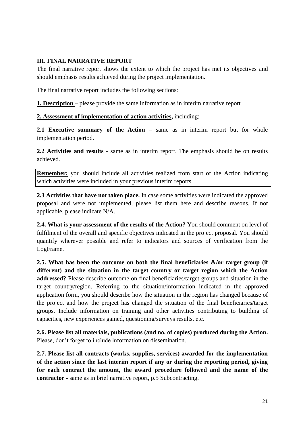#### <span id="page-20-0"></span>**III. FINAL NARRATIVE REPORT**

The final narrative report shows the extent to which the project has met its objectives and should emphasis results achieved during the project implementation.

The final narrative report includes the following sections:

<span id="page-20-1"></span>**1. Description** – please provide the same information as in interim narrative report

<span id="page-20-2"></span>**2. Assessment of implementation of action activities,** including:

**2.1 Executive summary of the Action** – same as in interim report but for whole implementation period.

**2.2 Activities and results** - same as in interim report. The emphasis should be on results achieved.

**Remember:** you should include all activities realized from start of the Action indicating which activities were included in your previous interim reports

**2.3 Activities that have not taken place.** In case some activities were indicated the approved proposal and were not implemented, please list them here and describe reasons. If not applicable, please indicate N/A.

**2.4. What is your assessment of the results of the Action?** You should comment on level of fulfilment of the overall and specific objectives indicated in the project proposal. You should quantify wherever possible and refer to indicators and sources of verification from the LogFrame.

**2.5. What has been the outcome on both the final beneficiaries &/or target group (if different) and the situation in the target country or target region which the Action addressed?** Please describe outcome on final beneficiaries/target groups and situation in the target country/region. Referring to the situation/information indicated in the approved application form, you should describe how the situation in the region has changed because of the project and how the project has changed the situation of the final beneficiaries/target groups. Include information on training and other activities contributing to building of capacities, new experiences gained, questioning/surveys results, etc.

**2.6. Please list all materials, publications (and no. of copies) produced during the Action.** Please, don't forget to include information on dissemination.

**2.7. Please list all contracts (works, supplies, services) awarded for the implementation of the action since the last interim report if any or during the reporting period, giving for each contract the amount, the award procedure followed and the name of the contractor -** same as in brief narrative report, p.5 Subcontracting.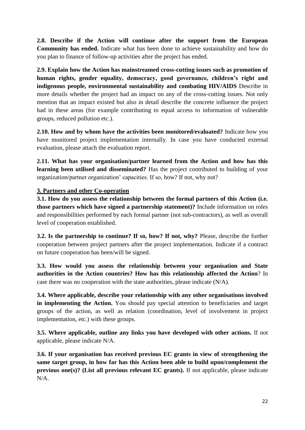**2.8. Describe if the Action will continue after the support from the European Community has ended.** Indicate what has been done to achieve sustainability and how do you plan to finance of follow-up activities after the project has ended.

**2.9. Explain how the Action has mainstreamed cross-cutting issues such as promotion of human rights, gender equality, democracy, good governance, children's right and indigenous people, environmental sustainability and combating HIV/AIDS** Describe in more details whether the project had an impact on any of the cross-cutting issues. Not only mention that an impact existed but also in detail describe the concrete influence the project had in these areas (for example contributing to equal access to information of vulnerable groups, reduced pollution etc.).

**2.10. How and by whom have the activities been monitored/evaluated?** Indicate how you have monitored project implementation internally. In case you have conducted external evaluation, please attach the evaluation report.

**2.11. What has your organisation/partner learned from the Action and how has this learning been utilised and disseminated?** Has the project contributed to building of your organization/partner organization' capacities. If so, how? If not, why not?

# <span id="page-21-0"></span>**3. Partners and other Co-operation**

**3.1. How do you assess the relationship between the formal partners of this Action (i.e. those partners which have signed a partnership statement)?** Include information on roles and responsibilities performed by each formal partner (not sub-contractors), as well as overall level of cooperation established.

**3.2. Is the partnership to continue? If so, how? If not, why?** Please, describe the further cooperation between project partners after the project implementation. Indicate if a contract on future cooperation has been/will be signed.

**3.3. How would you assess the relationship between your organisation and State authorities in the Action countries? How has this relationship affected the Action**? In case there was no cooperation with the state authorities, please indicate (N/A).

**3.4. Where applicable, describe your relationship with any other organisations involved in implementing the Action.** You should pay special attention to beneficiaries and target groups of the action, as well as relation (coordination, level of involvement in project implementation, etc.) with these groups.

**3.5. Where applicable, outline any links you have developed with other actions.** If not applicable, please indicate N/A.

**3.6. If your organisation has received previous EC grants in view of strengthening the same target group, in how far has this Action been able to build upon/complement the previous one(s)? (List all previous relevant EC grants).** If not applicable, please indicate N/A.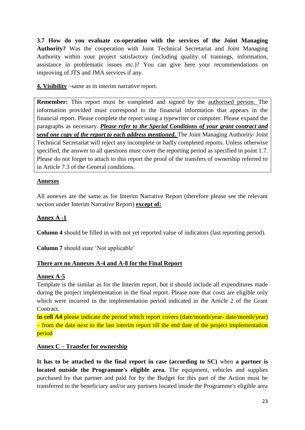**3.7 How do you evaluate co-operation with the services of the Joint Managing Authority?** Was the cooperation with Joint Technical Secretariat and Joint Managing Authority within your project satisfactory (including quality of trainings, information, assistance in problematic issues etc.)? You can give here your recommendations on improving of JTS and JMA services if any.

<span id="page-22-0"></span>**4. Visibility** –same as in interim narrative report.

**Remember:** This report must be completed and signed by the authorised person. The information provided must correspond to the financial information that appears in the financial report. Please complete the report using a typewriter or computer. Please expand the paragraphs as necessary. *Please refer to the Special Conditions of your grant contract and send one copy of the report to each address mentioned.* The Joint Managing Authority/ Joint Technical Secretariat will reject any incomplete or badly completed reports. Unless otherwise specified, the answer to all questions must cover the reporting period as specified in point 1.7. Please do not forget to attach to this report the proof of the transfers of ownership referred to in Article 7.3 of the General conditions.

# <span id="page-22-1"></span>**Annexes**

All annexes are the same as for Interim Narrative Report (therefore please see the relevant section under Interim Narrative Report) **except of:**

# <span id="page-22-2"></span>**Annex A -1**

**Column 4** should be filled in with not yet reported value of indicators (last reporting period).

**Column 7** should state 'Not applicable'

# **There are no Annexes A-4 and A-8 for the Final Report**

# <span id="page-22-3"></span>**Annex A-5**

Template is the similar as for the Interim report, but it should include all expenditures made during the project implementation in the final report. Please note that costs are eligible only which were incurred in the implementation period indicated in the Article 2 of the Grant Contract.

I**n cell A4** please indicate the period which report covers (date/month/year- date/month/year) – from the date next to the last interim report till the end date of the project implementation period

# <span id="page-22-4"></span>**Annex C – Transfer for ownership**

**It has to be attached to the final report in case (according to SC)** when **a partner is located outside the Programme's eligible area.** The equipment, vehicles and supplies purchased by that partner and paid for by the Budget for this part of the Action must be transferred to the beneficiary and/or any partners located inside the Programme's eligible area